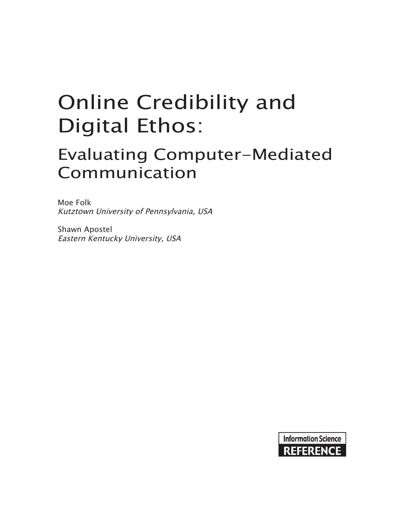# Online Credibility and Digital Ethos:

# Evaluating Computer-Mediated Communication

Moe Folk Kutztown University of Pennsylvania, USA

Shawn Apostel Eastern Kentucky University, USA

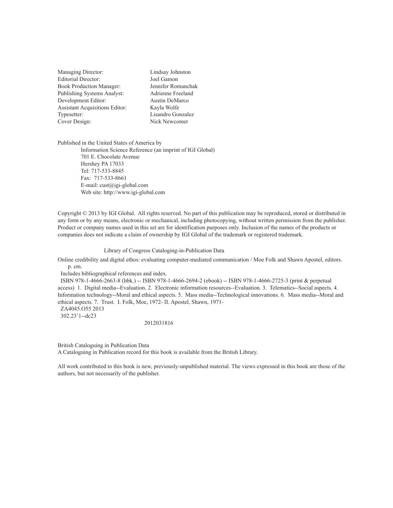| Managing Director:                    | Li           |
|---------------------------------------|--------------|
| Editorial Director:                   | Jo           |
| <b>Book Production Manager:</b>       | Je           |
| Publishing Systems Analyst:           | $\mathsf{A}$ |
| Development Editor:                   | $\mathsf{A}$ |
| <b>Assistant Acquisitions Editor:</b> | K:           |
| Typesetter:                           | Li           |
| Cover Design:                         | N            |
|                                       |              |

indsay Johnston el Gamon ennifer Romanchak drienne Freeland ustin DeMarco ayla Wolfe isandro Gonzalez ick Newcomer

Published in the United States of America by Information Science Reference (an imprint of IGI Global) 701 E. Chocolate Avenue Hershey PA 17033 Tel: 717-533-8845 Fax: 717-533-8661 E-mail: cust@igi-global.com Web site: http://www.igi-global.com

Copyright © 2013 by IGI Global. All rights reserved. No part of this publication may be reproduced, stored or distributed in any form or by any means, electronic or mechanical, including photocopying, without written permission from the publisher. Product or company names used in this set are for identification purposes only. Inclusion of the names of the products or companies does not indicate a claim of ownership by IGI Global of the trademark or registered trademark.

#### Library of Congress Cataloging-in-Publication Data

Online credibility and digital ethos: evaluating computer-mediated communication / Moe Folk and Shawn Apostel, editors. p. cm.

Includes bibliographical references and index.

 ISBN 978-1-4666-2663-8 (hbk.) -- ISBN 978-1-4666-2694-2 (ebook) -- ISBN 978-1-4666-2725-3 (print & perpetual access) 1. Digital media--Evaluation. 2. Electronic information resources--Evaluation. 3. Telematics--Social aspects. 4. Information technology--Moral and ethical aspects. 5. Mass media--Technological innovations. 6. Mass media--Moral and ethical aspects. 7. Trust. I. Folk, Moe, 1972- II. Apostel, Shawn, 1971-

302.23'1--dc23

2012031816

British Cataloguing in Publication Data

A Cataloguing in Publication record for this book is available from the British Library.

All work contributed to this book is new, previously-unpublished material. The views expressed in this book are those of the authors, but not necessarily of the publisher.

ZA4045.O55 2013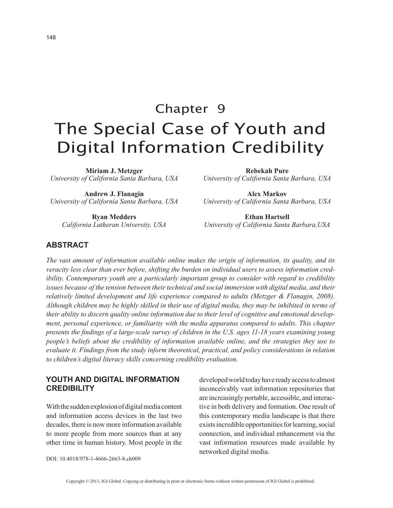# Chapter 9 The Special Case of Youth and Digital Information Credibility

**Miriam J. Metzger** *University of California Santa Barbara, USA*

**Andrew J. Flanagin** *University of California Santa Barbara, USA*

**Ryan Medders** *California Lutheran University, USA* **Rebekah Pure**

*University of California Santa Barbara, USA*

**Alex Markov** *University of California Santa Barbara, USA*

**Ethan Hartsell** *University of California Santa Barbara,USA*

### **ABSTRACT**

*The vast amount of information available online makes the origin of information, its quality, and its veracity less clear than ever before, shifting the burden on individual users to assess information credibility. Contemporary youth are a particularly important group to consider with regard to credibility issues because of the tension between their technical and social immersion with digital media, and their relatively limited development and life experience compared to adults (Metzger & Flanagin, 2008). Although children may be highly skilled in their use of digital media, they may be inhibited in terms of their ability to discern quality online information due to their level of cognitive and emotional development, personal experience, or familiarity with the media apparatus compared to adults. This chapter presents the findings of a large-scale survey of children in the U.S. ages 11-18 years examining young people's beliefs about the credibility of information available online, and the strategies they use to evaluate it. Findings from the study inform theoretical, practical, and policy considerations in relation to children's digital literacy skills concerning credibility evaluation.*

### **YOUTH AND DIGITAL INFORMATION CREDIBILITY**

With the sudden explosion of digital media content and information access devices in the last two decades, there is now more information available to more people from more sources than at any other time in human history. Most people in the developed world today have ready access to almost inconceivably vast information repositories that are increasingly portable, accessible, and interactive in both delivery and formation. One result of this contemporary media landscape is that there exists incredible opportunities for learning, social connection, and individual enhancement via the vast information resources made available by networked digital media.

DOI: 10.4018/978-1-4666-2663-8.ch009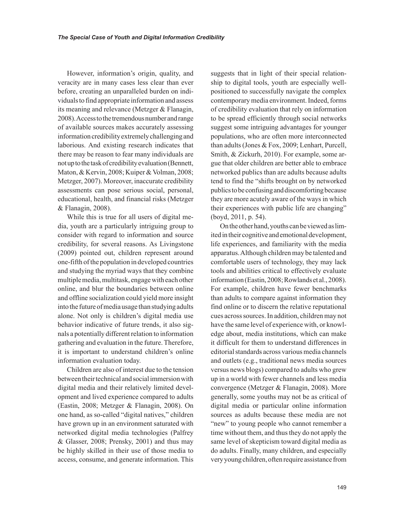However, information's origin, quality, and veracity are in many cases less clear than ever before, creating an unparalleled burden on individuals to find appropriate information and assess its meaning and relevance (Metzger & Flanagin, 2008). Access to the tremendous number and range of available sources makes accurately assessing information credibility extremely challenging and laborious. And existing research indicates that there may be reason to fear many individuals are not up to the task of credibility evaluation (Bennett, Maton, & Kervin, 2008; Kuiper & Volman, 2008; Metzger, 2007). Moreover, inaccurate credibility assessments can pose serious social, personal, educational, health, and financial risks (Metzger & Flanagin, 2008).

While this is true for all users of digital media, youth are a particularly intriguing group to consider with regard to information and source credibility, for several reasons. As Livingstone (2009) pointed out, children represent around one-fifth of the population in developed countries and studying the myriad ways that they combine multiple media, multitask, engage with each other online, and blur the boundaries between online and offline socialization could yield more insight into the future of media usage than studying adults alone. Not only is children's digital media use behavior indicative of future trends, it also signals a potentially different relation to information gathering and evaluation in the future. Therefore, it is important to understand children's online information evaluation today.

Children are also of interest due to the tension between their technical and social immersion with digital media and their relatively limited development and lived experience compared to adults (Eastin, 2008; Metzger & Flanagin, 2008). On one hand, as so-called "digital natives," children have grown up in an environment saturated with networked digital media technologies (Palfrey & Glasser, 2008; Prensky, 2001) and thus may be highly skilled in their use of those media to access, consume, and generate information. This suggests that in light of their special relationship to digital tools, youth are especially wellpositioned to successfully navigate the complex contemporary media environment. Indeed, forms of credibility evaluation that rely on information to be spread efficiently through social networks suggest some intriguing advantages for younger populations, who are often more interconnected than adults (Jones & Fox, 2009; Lenhart, Purcell, Smith, & Zickurh, 2010). For example, some argue that older children are better able to embrace networked publics than are adults because adults tend to find the "shifts brought on by networked publics to be confusing and discomforting because they are more acutely aware of the ways in which their experiences with public life are changing" (boyd, 2011, p. 54).

On the other hand, youths can be viewed as limited in their cognitive and emotional development, life experiences, and familiarity with the media apparatus. Although children may be talented and comfortable users of technology, they may lack tools and abilities critical to effectively evaluate information (Eastin, 2008; Rowlands et al., 2008). For example, children have fewer benchmarks than adults to compare against information they find online or to discern the relative reputational cues across sources. In addition, children may not have the same level of experience with, or knowledge about, media institutions, which can make it difficult for them to understand differences in editorial standards across various media channels and outlets (e.g., traditional news media sources versus news blogs) compared to adults who grew up in a world with fewer channels and less media convergence (Metzger & Flanagin, 2008). More generally, some youths may not be as critical of digital media or particular online information sources as adults because these media are not "new" to young people who cannot remember a time without them, and thus they do not apply the same level of skepticism toward digital media as do adults. Finally, many children, and especially very young children, often require assistance from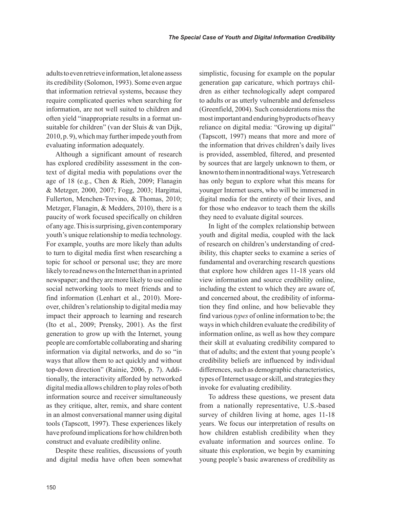adults to even retrieve information, let alone assess its credibility (Solomon, 1993). Some even argue that information retrieval systems, because they require complicated queries when searching for information, are not well suited to children and often yield "inappropriate results in a format unsuitable for children" (van der Sluis & van Dijk, 2010, p. 9), which may further impede youth from evaluating information adequately.

Although a significant amount of research has explored credibility assessment in the context of digital media with populations over the age of 18 (e.g., Chen & Rieh, 2009; Flanagin & Metzger, 2000, 2007; Fogg, 2003; Hargittai, Fullerton, Menchen-Trevino, & Thomas, 2010; Metzger, Flanagin, & Medders, 2010), there is a paucity of work focused specifically on children of any age. This is surprising, given contemporary youth's unique relationship to media technology. For example, youths are more likely than adults to turn to digital media first when researching a topic for school or personal use; they are more likely to read news on the Internet than in a printed newspaper; and they are more likely to use online social networking tools to meet friends and to find information (Lenhart et al., 2010). Moreover, children's relationship to digital media may impact their approach to learning and research (Ito et al., 2009; Prensky, 2001). As the first generation to grow up with the Internet, young people are comfortable collaborating and sharing information via digital networks, and do so "in ways that allow them to act quickly and without top-down direction" (Rainie, 2006, p. 7). Additionally, the interactivity afforded by networked digital media allows children to play roles of both information source and receiver simultaneously as they critique, alter, remix, and share content in an almost conversational manner using digital tools (Tapscott, 1997). These experiences likely have profound implications for how children both construct and evaluate credibility online.

Despite these realities, discussions of youth and digital media have often been somewhat simplistic, focusing for example on the popular generation gap caricature, which portrays children as either technologically adept compared to adults or as utterly vulnerable and defenseless (Greenfield, 2004). Such considerations miss the most important and enduring byproducts of heavy reliance on digital media: "Growing up digital" (Tapscott, 1997) means that more and more of the information that drives children's daily lives is provided, assembled, filtered, and presented by sources that are largely unknown to them, or known to them in nontraditional ways. Yet research has only begun to explore what this means for younger Internet users, who will be immersed in digital media for the entirety of their lives, and for those who endeavor to teach them the skills they need to evaluate digital sources.

In light of the complex relationship between youth and digital media, coupled with the lack of research on children's understanding of credibility, this chapter seeks to examine a series of fundamental and overarching research questions that explore how children ages 11-18 years old view information and source credibility online, including the extent to which they are aware of, and concerned about, the credibility of information they find online, and how believable they find various *types* of online information to be; the ways in which children evaluate the credibility of information online, as well as how they compare their skill at evaluating credibility compared to that of adults; and the extent that young people's credibility beliefs are influenced by individual differences, such as demographic characteristics, types of Internet usage or skill, and strategies they invoke for evaluating credibility.

To address these questions, we present data from a nationally representative, U.S.-based survey of children living at home, ages 11-18 years. We focus our interpretation of results on how children establish credibility when they evaluate information and sources online. To situate this exploration, we begin by examining young people's basic awareness of credibility as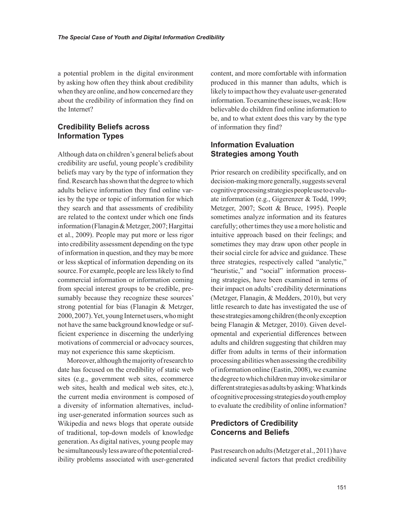a potential problem in the digital environment by asking how often they think about credibility when they are online, and how concerned are they about the credibility of information they find on the Internet?

# **Credibility Beliefs across Information Types**

Although data on children's general beliefs about credibility are useful, young people's credibility beliefs may vary by the type of information they find. Research has shown that the degree to which adults believe information they find online varies by the type or topic of information for which they search and that assessments of credibility are related to the context under which one finds information (Flanagin & Metzger, 2007; Hargittai et al., 2009). People may put more or less rigor into credibility assessment depending on the type of information in question, and they may be more or less skeptical of information depending on its source. For example, people are less likely to find commercial information or information coming from special interest groups to be credible, presumably because they recognize these sources' strong potential for bias (Flanagin & Metzger, 2000, 2007). Yet, young Internet users, who might not have the same background knowledge or sufficient experience in discerning the underlying motivations of commercial or advocacy sources, may not experience this same skepticism.

Moreover, although the majority of research to date has focused on the credibility of static web sites (e.g., government web sites, ecommerce web sites, health and medical web sites, etc.), the current media environment is composed of a diversity of information alternatives, including user-generated information sources such as Wikipedia and news blogs that operate outside of traditional, top-down models of knowledge generation. As digital natives, young people may be simultaneously less aware of the potential credibility problems associated with user-generated content, and more comfortable with information produced in this manner than adults, which is likely to impact how they evaluate user-generated information. To examine these issues, we ask: How believable do children find online information to be, and to what extent does this vary by the type of information they find?

# **Information Evaluation Strategies among Youth**

Prior research on credibility specifically, and on decision-making more generally, suggests several cognitive processing strategies people use to evaluate information (e.g., Gigerenzer & Todd, 1999; Metzger, 2007; Scott & Bruce, 1995). People sometimes analyze information and its features carefully; other times they use a more holistic and intuitive approach based on their feelings; and sometimes they may draw upon other people in their social circle for advice and guidance. These three strategies, respectively called "analytic," "heuristic," and "social" information processing strategies, have been examined in terms of their impact on adults' credibility determinations (Metzger, Flanagin, & Medders, 2010), but very little research to date has investigated the use of these strategies among children (the only exception being Flanagin & Metzger, 2010). Given developmental and experiential differences between adults and children suggesting that children may differ from adults in terms of their information processing abilities when assessing the credibility of information online (Eastin, 2008), we examine the degree to which children may invoke similar or different strategies as adults by asking: What kinds of cognitive processing strategies do youth employ to evaluate the credibility of online information?

# **Predictors of Credibility Concerns and Beliefs**

Past research on adults (Metzger et al., 2011) have indicated several factors that predict credibility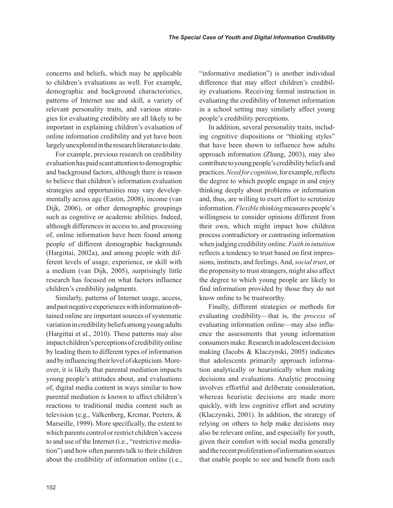concerns and beliefs, which may be applicable to children's evaluations as well. For example, demographic and background characteristics, patterns of Internet use and skill, a variety of relevant personality traits, and various strategies for evaluating credibility are all likely to be important in explaining children's evaluation of online information credibility and yet have been largely unexplored in the research literature to date.

For example, previous research on credibility evaluation has paid scant attention to demographic and background factors, although there is reason to believe that children's information evaluation strategies and opportunities may vary developmentally across age (Eastin, 2008), income (van Dijk, 2006), or other demographic groupings such as cognitive or academic abilities. Indeed, although differences in access to, and processing of, online information have been found among people of different demographic backgrounds (Hargittai, 2002a), and among people with different levels of usage, experience, or skill with a medium (van Dijk, 2005), surprisingly little research has focused on what factors influence children's credibility judgments.

Similarly, patterns of Internet usage, access, and past negative experiences with information obtained online are important sources of systematic variation in credibility beliefs among young adults (Hargittai et al., 2010). These patterns may also impact children's perceptions of credibility online by leading them to different types of information and by influencing their level of skepticism. Moreover, it is likely that parental mediation impacts young people's attitudes about, and evaluations of, digital media content in ways similar to how parental mediation is known to affect children's reactions to traditional media content such as television (e.g., Valkenberg, Krcmar, Peeters, & Marseille, 1999). More specifically, the extent to which parents control or restrict children's access to and use of the Internet (i.e., "restrictive mediation") and how often parents talk to their children about the credibility of information online (i.e., "informative mediation") is another individual difference that may affect children's credibility evaluations. Receiving formal instruction in evaluating the credibility of Internet information in a school setting may similarly affect young people's credibility perceptions.

In addition, several personality traits, including cognitive dispositions or "thinking styles" that have been shown to influence how adults approach information (Zhang, 2003), may also contribute to young people's credibility beliefs and practices. *Need for cognition*, for example, reflects the degree to which people engage in and enjoy thinking deeply about problems or information and, thus, are willing to exert effort to scrutinize information. *Flexible thinking* measures people's willingness to consider opinions different from their own, which might impact how children process contradictory or contrasting information when judging credibility online. *Faith in intuition* reflects a tendency to trust based on first impressions, instincts, and feelings. And, *social trust*, or the propensity to trust strangers, might also affect the degree to which young people are likely to find information provided by those they do not know online to be trustworthy.

Finally, different strategies or methods for evaluating credibility—that is, the *process* of evaluating information online—may also influence the assessments that young information consumers make. Research in adolescent decision making (Jacobs & Klaczynski, 2005) indicates that adolescents primarily approach information analytically or heuristically when making decisions and evaluations. Analytic processing involves effortful and deliberate consideration, whereas heuristic decisions are made more quickly, with less cognitive effort and scrutiny (Klaczynski, 2001). In addition, the strategy of relying on others to help make decisions may also be relevant online, and especially for youth, given their comfort with social media generally and the recent proliferation of information sources that enable people to see and benefit from each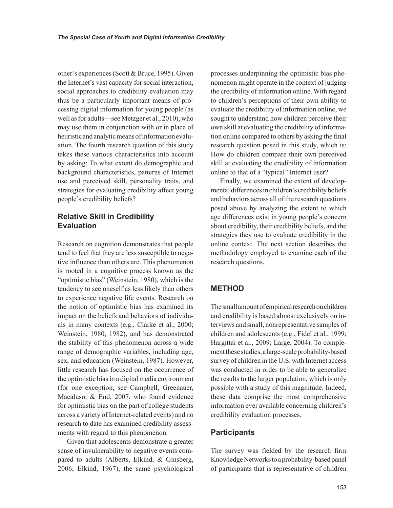other's experiences (Scott & Bruce, 1995). Given the Internet's vast capacity for social interaction, social approaches to credibility evaluation may thus be a particularly important means of processing digital information for young people (as well as for adults—see Metzger et al., 2010), who may use them in conjunction with or in place of heuristic and analytic means of information evaluation. The fourth research question of this study takes these various characteristics into account by asking: To what extent do demographic and background characteristics, patterns of Internet use and perceived skill, personality traits, and strategies for evaluating credibility affect young people's credibility beliefs?

# **Relative Skill in Credibility Evaluation**

Research on cognition demonstrates that people tend to feel that they are less susceptible to negative influence than others are. This phenomenon is rooted in a cognitive process known as the "optimistic bias" (Weinstein, 1980), which is the tendency to see oneself as less likely than others to experience negative life events. Research on the notion of optimistic bias has examined its impact on the beliefs and behaviors of individuals in many contexts (e.g., Clarke et al., 2000; Weinstein, 1980, 1982), and has demonstrated the stability of this phenomenon across a wide range of demographic variables, including age, sex, and education (Weinstein, 1987). However, little research has focused on the occurrence of the optimistic bias in a digital media environment (for one exception, see Campbell, Greenauer, Macaluso, & End, 2007, who found evidence for optimistic bias on the part of college students across a variety of Internet-related events) and no research to date has examined credibility assessments with regard to this phenomenon.

Given that adolescents demonstrate a greater sense of invulnerability to negative events compared to adults (Alberts, Elkind, & Ginsberg, 2006; Elkind, 1967), the same psychological processes underpinning the optimistic bias phenomenon might operate in the context of judging the credibility of information online. With regard to children's perceptions of their own ability to evaluate the credibility of information online, we sought to understand how children perceive their own skill at evaluating the credibility of information online compared to others by asking the final research question posed in this study, which is: How do children compare their own perceived skill at evaluating the credibility of information online to that of a "typical" Internet user?

Finally, we examined the extent of developmental differences in children's credibility beliefs and behaviors across all of the research questions posed above by analyzing the extent to which age differences exist in young people's concern about credibility, their credibility beliefs, and the strategies they use to evaluate credibility in the online context. The next section describes the methodology employed to examine each of the research questions.

#### **METHOD**

The small amount of empirical research on children and credibility is based almost exclusively on interviews and small, nonrepresentative samples of children and adolescents (e.g., Fidel et al., 1999; Hargittai et al., 2009; Large, 2004). To complement these studies, a large-scale probability-based survey of children in the U.S. with Internet access was conducted in order to be able to generalize the results to the larger population, which is only possible with a study of this magnitude. Indeed, these data comprise the most comprehensive information ever available concerning children's credibility evaluation processes.

#### **Participants**

The survey was fielded by the research firm Knowledge Networks to a probability-based panel of participants that is representative of children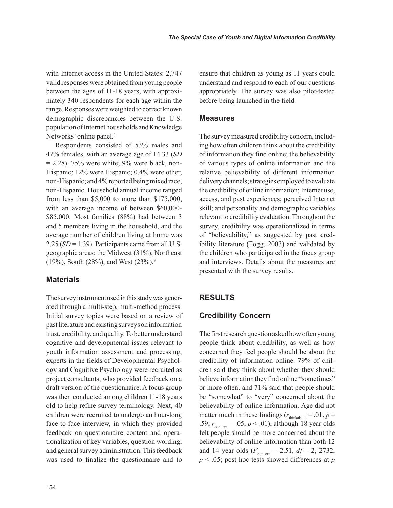with Internet access in the United States: 2,747 valid responses were obtained from young people between the ages of 11-18 years, with approximately 340 respondents for each age within the range. Responses were weighted to correct known demographic discrepancies between the U.S. population of Internet households and Knowledge Networks' online panel.<sup>1</sup>

Respondents consisted of 53% males and 47% females, with an average age of 14.33 (*SD*  $= 2.28$ ). 75% were white; 9% were black, non-Hispanic; 12% were Hispanic; 0.4% were other, non-Hispanic; and 4% reported being mixed race, non-Hispanic. Household annual income ranged from less than \$5,000 to more than \$175,000, with an average income of between \$60,000- \$85,000. Most families (88%) had between 3 and 5 members living in the household, and the average number of children living at home was 2.25 (*SD* = 1.39). Participants came from all U.S. geographic areas: the Midwest (31%), Northeast (19%), South (28%), and West (23%).<sup>3</sup>

#### **Materials**

The survey instrument used in this study was generated through a multi-step, multi-method process. Initial survey topics were based on a review of past literature and existing surveys on information trust, credibility, and quality. To better understand cognitive and developmental issues relevant to youth information assessment and processing, experts in the fields of Developmental Psychology and Cognitive Psychology were recruited as project consultants, who provided feedback on a draft version of the questionnaire. A focus group was then conducted among children 11-18 years old to help refine survey terminology. Next, 40 children were recruited to undergo an hour-long face-to-face interview, in which they provided feedback on questionnaire content and operationalization of key variables, question wording, and general survey administration. This feedback was used to finalize the questionnaire and to ensure that children as young as 11 years could understand and respond to each of our questions appropriately. The survey was also pilot-tested before being launched in the field.

#### **Measures**

The survey measured credibility concern, including how often children think about the credibility of information they find online; the believability of various types of online information and the relative believability of different information delivery channels; strategies employed to evaluate the credibility of online information; Internet use, access, and past experiences; perceived Internet skill; and personality and demographic variables relevant to credibility evaluation. Throughout the survey, credibility was operationalized in terms of "believability," as suggested by past credibility literature (Fogg, 2003) and validated by the children who participated in the focus group and interviews. Details about the measures are presented with the survey results.

#### **RESULTS**

#### **Credibility Concern**

The first research question asked how often young people think about credibility, as well as how concerned they feel people should be about the credibility of information online. 79% of children said they think about whether they should believe information they find online "sometimes" or more often, and 71% said that people should be "somewhat" to "very" concerned about the believability of online information. Age did not matter much in these findings ( $r_{\text{thinkabout}} = .01, p =$ .59;  $r_{\text{concern}} = .05, p < .01$ ), although 18 year olds felt people should be more concerned about the believability of online information than both 12 and 14 year olds  $(F_{\text{concern}} = 2.51, df = 2, 2732,$ *p* < .05; post hoc tests showed differences at *p*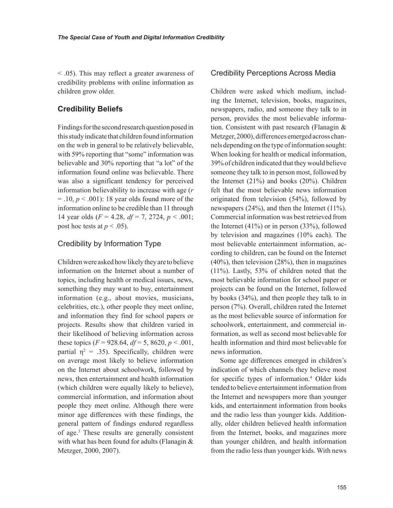< .05). This may reflect a greater awareness of credibility problems with online information as children grow older.

# **Credibility Beliefs**

Findings for the second research question posed in this study indicate that children found information on the web in general to be relatively believable, with 59% reporting that "some" information was believable and 30% reporting that "a lot" of the information found online was believable. There was also a significant tendency for perceived information believability to increase with age (*r*  $=$  .10,  $p < .001$ ): 18 year olds found more of the information online to be credible than 11 through 14 year olds (*F* = 4.28, *df* = 7, 2724, *p* < .001; post hoc tests at  $p < .05$ ).

# Credibility by Information Type

Children were asked how likely they are to believe information on the Internet about a number of topics, including health or medical issues, news, something they may want to buy, entertainment information (e.g., about movies, musicians, celebrities, etc.), other people they meet online, and information they find for school papers or projects. Results show that children varied in their likelihood of believing information across these topics  $(F = 928.64, df = 5, 8620, p < .001$ , partial  $\eta^2 = .35$ ). Specifically, children were on average most likely to believe information on the Internet about schoolwork, followed by news, then entertainment and health information (which children were equally likely to believe), commercial information, and information about people they meet online. Although there were minor age differences with these findings, the general pattern of findings endured regardless of age.3 These results are generally consistent with what has been found for adults (Flanagin & Metzger, 2000, 2007).

### Credibility Perceptions Across Media

Children were asked which medium, including the Internet, television, books, magazines, newspapers, radio, and someone they talk to in person, provides the most believable information. Consistent with past research (Flanagin & Metzger, 2000), differences emerged across channels depending on the type of information sought: When looking for health or medical information, 39% of children indicated that they would believe someone they talk to in person most, followed by the Internet (21%) and books (20%). Children felt that the most believable news information originated from television (54%), followed by newspapers (24%), and then the Internet (11%). Commercial information was best retrieved from the Internet (41%) or in person (33%), followed by television and magazines (10% each). The most believable entertainment information, according to children, can be found on the Internet (40%), then television (28%), then in magazines (11%). Lastly, 53% of children noted that the most believable information for school paper or projects can be found on the Internet, followed by books (34%), and then people they talk to in person (7%). Overall, children rated the Internet as the most believable source of information for schoolwork, entertainment, and commercial information, as well as second most believable for health information and third most believable for news information.

Some age differences emerged in children's indication of which channels they believe most for specific types of information.4 Older kids tended to believe entertainment information from the Internet and newspapers more than younger kids, and entertainment information from books and the radio less than younger kids. Additionally, older children believed health information from the Internet, books, and magazines more than younger children, and health information from the radio less than younger kids. With news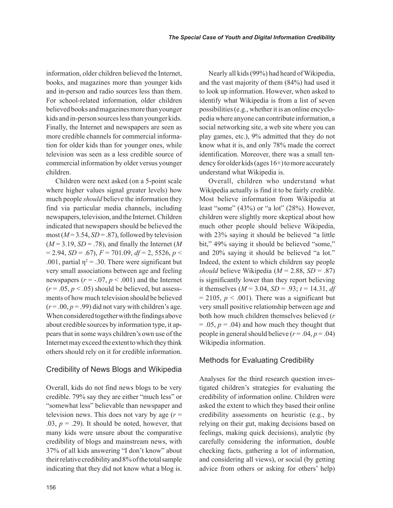Nearly all kids (99%) had heard of Wikipedia, and the vast majority of them (84%) had used it to look up information. However, when asked to

information, older children believed the Internet, books, and magazines more than younger kids and in-person and radio sources less than them. For school-related information, older children believed books and magazines more than younger kids and in-person sources less than younger kids. Finally, the Internet and newspapers are seen as more credible channels for commercial information for older kids than for younger ones, while television was seen as a less credible source of commercial information by older versus younger children.

Children were next asked (on a 5-point scale where higher values signal greater levels) how much people *should* believe the information they find via particular media channels, including newspapers, television, and the Internet. Children indicated that newspapers should be believed the most  $(M=3.54, SD=.87)$ , followed by television  $(M = 3.19, SD = .78)$ , and finally the Internet (*M*  $= 2.94$ , *SD* = .67),  $F = 701.09$ ,  $df = 2$ , 5526,  $p <$ .001, partial  $\eta^2 = .30$ . There were significant but very small associations between age and feeling newspapers ( $r = -0.07$ ,  $p < .001$ ) and the Internet  $(r = .05, p < .05)$  should be believed, but assessments of how much television should be believed  $(r = .00, p = .99)$  did not vary with children's age. When considered together with the findings above about credible sources by information type, it appears that in some ways children's own use of the Internet may exceed the extent to which they think others should rely on it for credible information.

#### Credibility of News Blogs and Wikipedia

Overall, kids do not find news blogs to be very credible. 79% say they are either "much less" or "somewhat less" believable than newspaper and television news. This does not vary by age  $(r =$ .03,  $p = .29$ ). It should be noted, however, that many kids were unsure about the comparative credibility of blogs and mainstream news, with 37% of all kids answering "I don't know" about their relative credibility and 8% of the total sample indicating that they did not know what a blog is. identify what Wikipedia is from a list of seven possibilities (e.g., whether it is an online encyclopedia where anyone can contribute information, a social networking site, a web site where you can play games, etc.), 9% admitted that they do not know what it is, and only 78% made the correct identification. Moreover, there was a small tendency for older kids (ages 16+) to more accurately understand what Wikipedia is. Overall, children who understand what Wikipedia actually is find it to be fairly credible. Most believe information from Wikipedia at

least "some" (43%) or "a lot" (28%). However, children were slightly more skeptical about how much other people should believe Wikipedia, with 23% saying it should be believed "a little bit," 49% saying it should be believed "some," and 20% saying it should be believed "a lot." Indeed, the extent to which children say people *should* believe Wikipedia ( $M = 2.88$ ,  $SD = .87$ ) is significantly lower than they report believing it themselves ( $M = 3.04$ ,  $SD = .93$ ;  $t = 14.31$ , *df*  $= 2105$ ,  $p < .001$ ). There was a significant but very small positive relationship between age and both how much children themselves believed (*r*  $= .05, p = .04$ ) and how much they thought that people in general should believe  $(r = .04, p = .04)$ Wikipedia information.

#### Methods for Evaluating Credibility

Analyses for the third research question investigated children's strategies for evaluating the credibility of information online. Children were asked the extent to which they based their online credibility assessments on heuristic (e.g., by relying on their gut, making decisions based on feelings, making quick decisions), analytic (by carefully considering the information, double checking facts, gathering a lot of information, and considering all views), or social (by getting advice from others or asking for others' help)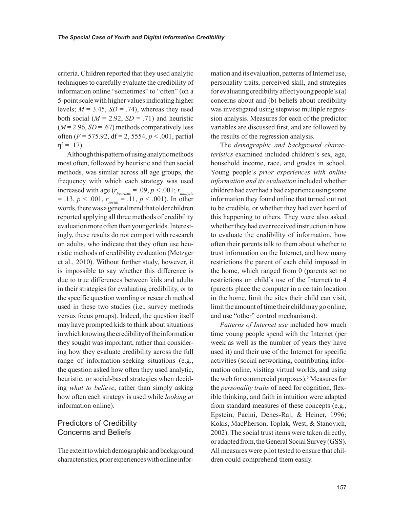criteria. Children reported that they used analytic techniques to carefully evaluate the credibility of information online "sometimes" to "often" (on a 5-point scale with higher values indicating higher levels;  $M = 3.45$ ,  $SD = .74$ ), whereas they used both social  $(M = 2.92, SD = .71)$  and heuristic  $(M=2.96, SD=.67)$  methods comparatively less often (*F* = 575.92, df = 2, 5554, *p* < .001, partial  $\eta^2 = .17$ ).

Although this pattern of using analytic methods most often, followed by heuristic and then social methods, was similar across all age groups, the frequency with which each strategy was used increased with age ( $r_{heuristic} = .09$ ,  $p < .001$ ;  $r_{analytic}$  $= .13, p < .001, r_{social} = .11, p < .001$ ). In other words, there was a general trend that older children reported applying all three methods of credibility evaluation more often than younger kids. Interestingly, these results do not comport with research on adults, who indicate that they often use heuristic methods of credibility evaluation (Metzger et al., 2010). Without further study, however, it is impossible to say whether this difference is due to true differences between kids and adults in their strategies for evaluating credibility, or to the specific question wording or research method used in these two studies (i.e., survey methods versus focus groups). Indeed, the question itself may have prompted kids to think about situations in which knowing the credibility of the information they sought was important, rather than considering how they evaluate credibility across the full range of information-seeking situations (e.g., the question asked how often they used analytic, heuristic, or social-based strategies when deciding *what to believe*, rather than simply asking how often each strategy is used while *looking at* information online).

# Predictors of Credibility Concerns and Beliefs

The extent to which demographic and background characteristics, prior experiences with online information and its evaluation, patterns of Internet use, personality traits, perceived skill, and strategies for evaluating credibility affect young people's (a) concerns about and (b) beliefs about credibility was investigated using stepwise multiple regression analysis. Measures for each of the predictor variables are discussed first, and are followed by the results of the regression analysis.

The *demographic and background characteristics* examined included children's sex, age, household income, race, and grades in school. Young people's *prior experiences with online information and its evaluation* included whether children had ever had a bad experience using some information they found online that turned out not to be credible, or whether they had ever heard of this happening to others. They were also asked whether they had ever received instruction in how to evaluate the credibility of information, how often their parents talk to them about whether to trust information on the Internet, and how many restrictions the parent of each child imposed in the home, which ranged from 0 (parents set no restrictions on child's use of the Internet) to 4 (parents place the computer in a certain location in the home, limit the sites their child can visit, limit the amount of time their child may go online, and use "other" control mechanisms).

*Patterns of Internet use* included how much time young people spend with the Internet (per week as well as the number of years they have used it) and their use of the Internet for specific activities (social networking, contributing information online, visiting virtual worlds, and using the web for commercial purposes).<sup>5</sup> Measures for the *personality traits* of need for cognition, flexible thinking, and faith in intuition were adapted from standard measures of these concepts (e.g., Epstein, Pacini, Denes-Raj, & Heiner, 1996; Kokis, MacPherson, Toplak, West, & Stanovich, 2002). The social trust items were taken directly, or adapted from, the General Social Survey (GSS). All measures were pilot tested to ensure that children could comprehend them easily.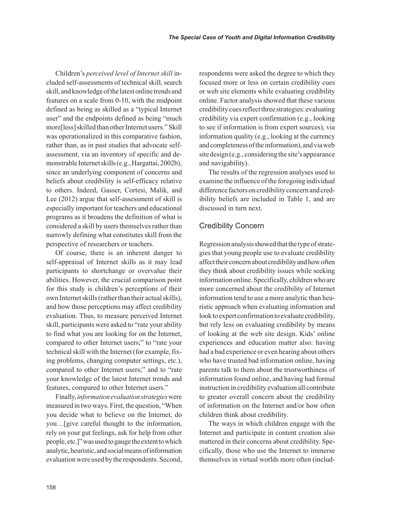Children's *perceived level of Internet skill* included self-assessments of technical skill, search skill, and knowledge of the latest online trends and features on a scale from 0-10, with the midpoint defined as being as skilled as a "typical Internet user" and the endpoints defined as being "much more[less] skilled than other Internet users." Skill was operationalized in this comparative fashion, rather than, as in past studies that advocate selfassessment, via an inventory of specific and demonstrable Internet skills (e.g., Hargattai, 2002b), since an underlying component of concerns and beliefs about credibility is self-efficacy relative to others. Indeed, Gasser, Cortesi, Malik, and Lee (2012) argue that self-assessment of skill is especially important for teachers and educational programs as it broadens the definition of what is considered a skill by users themselves rather than narrowly defining what constitutes skill from the perspective of researchers or teachers.

Of course, there is an inherent danger to self-appraisal of Internet skills as it may lead participants to shortchange or overvalue their abilities. However, the crucial comparison point for this study is children's perceptions of their own Internet skills (rather than their actual skills), and how those perceptions may affect credibility evaluation. Thus, to measure perceived Internet skill, participants were asked to "rate your ability to find what you are looking for on the Internet, compared to other Internet users;" to "rate your technical skill with the Internet (for example, fixing problems, changing computer settings, etc.), compared to other Internet users;" and to "rate your knowledge of the latest Internet trends and features, compared to other Internet users."

Finally, *information evaluation strategies* were measured in two ways. First, the question, "When you decide what to believe on the Internet, do you…[give careful thought to the information, rely on your gut feelings, ask for help from other people, etc.]" was used to gauge the extent to which analytic, heuristic, and social means of information evaluation were used by the respondents. Second, respondents were asked the degree to which they focused more or less on certain credibility cues or web site elements while evaluating credibility online. Factor analysis showed that these various credibility cues reflect three strategies: evaluating credibility via expert confirmation (e.g., looking to see if information is from expert sources), via information quality (e.g., looking at the currency and completeness of the information), and via web site design (e.g., considering the site's appearance and navigability).

The results of the regression analyses used to examine the influence of the foregoing individual difference factors on credibility concern and credibility beliefs are included in Table 1, and are discussed in turn next.

# Credibility Concern

Regression analysis showed that the type of strategies that young people use to evaluate credibility affect their concern about credibility and how often they think about credibility issues while seeking information online. Specifically, children who are more concerned about the credibility of Internet information tend to use a more analytic than heuristic approach when evaluating information and look to expert confirmation to evaluate credibility, but rely less on evaluating credibility by means of looking at the web site design. Kids' online experiences and education matter also: having had a bad experience or even hearing about others who have trusted bad information online, having parents talk to them about the trustworthiness of information found online, and having had formal instruction in credibility evaluation all contribute to greater overall concern about the credibility of information on the Internet and/or how often children think about credibility.

The ways in which children engage with the Internet and participate in content creation also mattered in their concerns about credibility. Specifically, those who use the Internet to immerse themselves in virtual worlds more often (includ-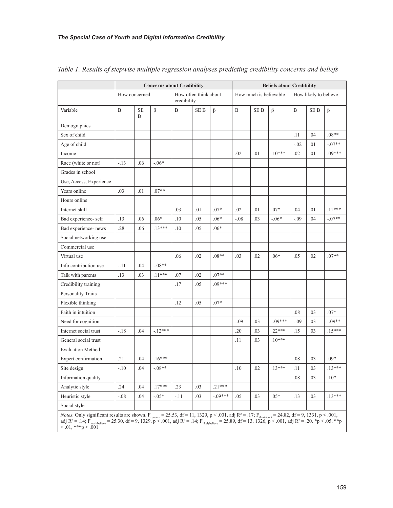|                                                                                                                                                                                                                                                                                                                                                                                                                                          | <b>Concerns about Credibility</b> |                |          |                                      |      |          |                        | <b>Beliefs about Credibility</b> |           |                       |      |          |  |  |
|------------------------------------------------------------------------------------------------------------------------------------------------------------------------------------------------------------------------------------------------------------------------------------------------------------------------------------------------------------------------------------------------------------------------------------------|-----------------------------------|----------------|----------|--------------------------------------|------|----------|------------------------|----------------------------------|-----------|-----------------------|------|----------|--|--|
|                                                                                                                                                                                                                                                                                                                                                                                                                                          | How concerned                     |                |          | How often think about<br>credibility |      |          | How much is believable |                                  |           | How likely to believe |      |          |  |  |
| Variable                                                                                                                                                                                                                                                                                                                                                                                                                                 | B                                 | <b>SE</b><br>B | $\beta$  | B                                    | SE B | $\beta$  | B                      | <b>SEB</b>                       | $\beta$   | B                     | SE B | $\beta$  |  |  |
| Demographics                                                                                                                                                                                                                                                                                                                                                                                                                             |                                   |                |          |                                      |      |          |                        |                                  |           |                       |      |          |  |  |
| Sex of child                                                                                                                                                                                                                                                                                                                                                                                                                             |                                   |                |          |                                      |      |          |                        |                                  |           | .11                   | .04  | $.08**$  |  |  |
| Age of child                                                                                                                                                                                                                                                                                                                                                                                                                             |                                   |                |          |                                      |      |          |                        |                                  |           | $-.02$                | .01  | $-.07**$ |  |  |
| Income                                                                                                                                                                                                                                                                                                                                                                                                                                   |                                   |                |          |                                      |      |          | .02                    | .01                              | $.10***$  | .02                   | .01  | $.09***$ |  |  |
| Race (white or not)                                                                                                                                                                                                                                                                                                                                                                                                                      | $-.13$                            | .06            | $-.06*$  |                                      |      |          |                        |                                  |           |                       |      |          |  |  |
| Grades in school                                                                                                                                                                                                                                                                                                                                                                                                                         |                                   |                |          |                                      |      |          |                        |                                  |           |                       |      |          |  |  |
| Use, Access, Experience                                                                                                                                                                                                                                                                                                                                                                                                                  |                                   |                |          |                                      |      |          |                        |                                  |           |                       |      |          |  |  |
| Years online                                                                                                                                                                                                                                                                                                                                                                                                                             | .03                               | .01            | $.07**$  |                                      |      |          |                        |                                  |           |                       |      |          |  |  |
| Hours online                                                                                                                                                                                                                                                                                                                                                                                                                             |                                   |                |          |                                      |      |          |                        |                                  |           |                       |      |          |  |  |
| Internet skill                                                                                                                                                                                                                                                                                                                                                                                                                           |                                   |                |          | .03                                  | .01  | $.07*$   | .02                    | .01                              | $.07*$    | .04                   | .01  | $.11***$ |  |  |
| Bad experience- self                                                                                                                                                                                                                                                                                                                                                                                                                     | .13                               | .06            | $.06*$   | .10                                  | .05  | $.06*$   | $-.08$                 | .03                              | $-.06*$   | $-.09$                | .04  | $-.07**$ |  |  |
| Bad experience-news                                                                                                                                                                                                                                                                                                                                                                                                                      | .28                               | .06            | $.13***$ | .10                                  | .05  | $.06*$   |                        |                                  |           |                       |      |          |  |  |
| Social networking use                                                                                                                                                                                                                                                                                                                                                                                                                    |                                   |                |          |                                      |      |          |                        |                                  |           |                       |      |          |  |  |
| Commercial use                                                                                                                                                                                                                                                                                                                                                                                                                           |                                   |                |          |                                      |      |          |                        |                                  |           |                       |      |          |  |  |
| Virtual use                                                                                                                                                                                                                                                                                                                                                                                                                              |                                   |                |          | .06                                  | .02  | $.08**$  | .03                    | .02                              | $.06*$    | .05                   | .02  | $.07**$  |  |  |
| Info contribution use                                                                                                                                                                                                                                                                                                                                                                                                                    | -.11                              | .04            | $-.08**$ |                                      |      |          |                        |                                  |           |                       |      |          |  |  |
| Talk with parents                                                                                                                                                                                                                                                                                                                                                                                                                        | .13                               | .03            | $.11***$ | .07                                  | .02  | $.07**$  |                        |                                  |           |                       |      |          |  |  |
| Credibility training                                                                                                                                                                                                                                                                                                                                                                                                                     |                                   |                |          | .17                                  | .05  | $.09***$ |                        |                                  |           |                       |      |          |  |  |
| Personality Traits                                                                                                                                                                                                                                                                                                                                                                                                                       |                                   |                |          |                                      |      |          |                        |                                  |           |                       |      |          |  |  |
| Flexible thinking                                                                                                                                                                                                                                                                                                                                                                                                                        |                                   |                |          | .12                                  | .05  | $.07*$   |                        |                                  |           |                       |      |          |  |  |
| Faith in intuition                                                                                                                                                                                                                                                                                                                                                                                                                       |                                   |                |          |                                      |      |          |                        |                                  |           | .08                   | .03  | $.07*$   |  |  |
| Need for cognition                                                                                                                                                                                                                                                                                                                                                                                                                       |                                   |                |          |                                      |      |          | $-.09$                 | .03                              | $-.09***$ | $-.09$                | .03  | $-.09**$ |  |  |
| Internet social trust                                                                                                                                                                                                                                                                                                                                                                                                                    | $-.18$                            | .04            | $-12***$ |                                      |      |          | .20                    | .03                              | $.22***$  | .15                   | .03  | $.15***$ |  |  |
| General social trust                                                                                                                                                                                                                                                                                                                                                                                                                     |                                   |                |          |                                      |      |          | .11                    | .03                              | $.10***$  |                       |      |          |  |  |
| <b>Evaluation Method</b>                                                                                                                                                                                                                                                                                                                                                                                                                 |                                   |                |          |                                      |      |          |                        |                                  |           |                       |      |          |  |  |
| Expert confirmation                                                                                                                                                                                                                                                                                                                                                                                                                      | .21                               | .04            | $.16***$ |                                      |      |          |                        |                                  |           | .08                   | .03  | $.09*$   |  |  |
| Site design                                                                                                                                                                                                                                                                                                                                                                                                                              | $-.10$                            | .04            | $-.08**$ |                                      |      |          | .10                    | .02                              | $.13***$  | .11                   | .03  | $.13***$ |  |  |
| Information quality                                                                                                                                                                                                                                                                                                                                                                                                                      |                                   |                |          |                                      |      |          |                        |                                  |           | .08                   | .03  | $.10*$   |  |  |
| Analytic style                                                                                                                                                                                                                                                                                                                                                                                                                           | .24                               | .04            | $.17***$ | .23                                  | .03  | $.21***$ |                        |                                  |           |                       |      |          |  |  |
| Heuristic style                                                                                                                                                                                                                                                                                                                                                                                                                          | $-.08$                            | .04            | $-.05*$  | $-.11$                               | .03  | $-09***$ | .05                    | .03                              | $.05*$    | .13                   | .03  | $.13***$ |  |  |
| Social style                                                                                                                                                                                                                                                                                                                                                                                                                             |                                   |                |          |                                      |      |          |                        |                                  |           |                       |      |          |  |  |
| <i>Notes</i> : Only significant results are shown. $F_{\text{concern}} = 25.53$ , df = 11, 1329, p < .001, adj R <sup>2</sup> = .17; $F_{\text{thinkabout}} = 24.82$ , df = 9, 1331, p < .001,<br>adj R <sup>2</sup> = .14; F <sub>muchbelieve</sub> = 25.30, df = 9, 1329, p < .001, adj R <sup>2</sup> = .14; F <sub>likelybelieve</sub> = 25.89, df = 13, 1326, p < .001, adj R <sup>2</sup> = .20. *p < .05, **p<br>$0.01,***p<.001$ |                                   |                |          |                                      |      |          |                        |                                  |           |                       |      |          |  |  |

*Table 1. Results of stepwise multiple regression analyses predicting credibility concerns and beliefs*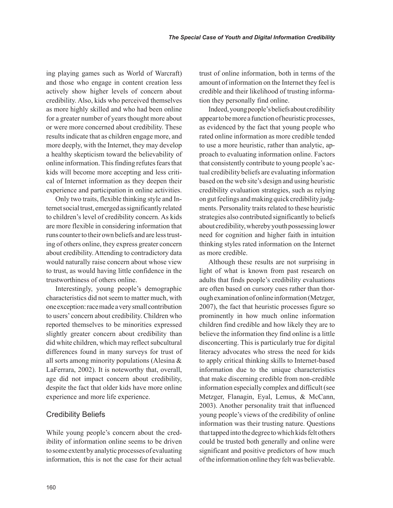ing playing games such as World of Warcraft) and those who engage in content creation less actively show higher levels of concern about credibility. Also, kids who perceived themselves as more highly skilled and who had been online for a greater number of years thought more about or were more concerned about credibility. These results indicate that as children engage more, and more deeply, with the Internet, they may develop a healthy skepticism toward the believability of online information. This finding refutes fears that kids will become more accepting and less critical of Internet information as they deepen their experience and participation in online activities.

Only two traits, flexible thinking style and Internet social trust, emerged as significantly related to children's level of credibility concern. As kids are more flexible in considering information that runs counter to their own beliefs and are less trusting of others online, they express greater concern about credibility. Attending to contradictory data would naturally raise concern about whose view to trust, as would having little confidence in the trustworthiness of others online.

Interestingly, young people's demographic characteristics did not seem to matter much, with one exception: race made a very small contribution to users' concern about credibility. Children who reported themselves to be minorities expressed slightly greater concern about credibility than did white children, which may reflect subcultural differences found in many surveys for trust of all sorts among minority populations (Alesina & LaFerrara, 2002). It is noteworthy that, overall, age did not impact concern about credibility, despite the fact that older kids have more online experience and more life experience.

#### Credibility Beliefs

While young people's concern about the credibility of information online seems to be driven to some extent by analytic processes of evaluating information, this is not the case for their actual trust of online information, both in terms of the amount of information on the Internet they feel is credible and their likelihood of trusting information they personally find online.

Indeed, young people's beliefs about credibility appear to be more a function of heuristic processes, as evidenced by the fact that young people who rated online information as more credible tended to use a more heuristic, rather than analytic, approach to evaluating information online. Factors that consistently contribute to young people's actual credibility beliefs are evaluating information based on the web site's design and using heuristic credibility evaluation strategies, such as relying on gut feelings and making quick credibility judgments. Personality traits related to these heuristic strategies also contributed significantly to beliefs about credibility, whereby youth possessing lower need for cognition and higher faith in intuition thinking styles rated information on the Internet as more credible.

Although these results are not surprising in light of what is known from past research on adults that finds people's credibility evaluations are often based on cursory cues rather than thorough examination of online information (Metzger, 2007), the fact that heuristic processes figure so prominently in how much online information children find credible and how likely they are to believe the information they find online is a little disconcerting. This is particularly true for digital literacy advocates who stress the need for kids to apply critical thinking skills to Internet-based information due to the unique characteristics that make discerning credible from non-credible information especially complex and difficult (see Metzger, Flanagin, Eyal, Lemus, & McCann, 2003). Another personality trait that influenced young people's views of the credibility of online information was their trusting nature. Questions that tapped into the degree to which kids felt others could be trusted both generally and online were significant and positive predictors of how much of the information online they felt was believable.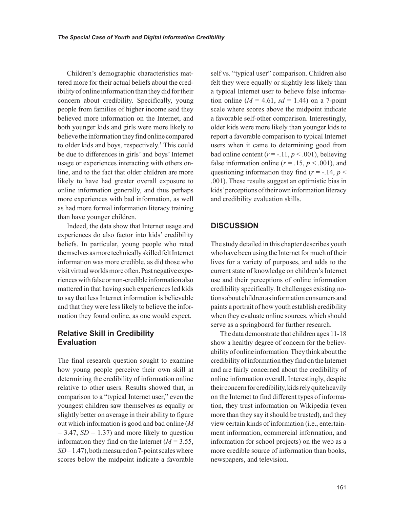Children's demographic characteristics mattered more for their actual beliefs about the credibility of online information than they did for their concern about credibility. Specifically, young people from families of higher income said they believed more information on the Internet, and both younger kids and girls were more likely to believe the information they find online compared to older kids and boys, respectively.<sup>5</sup> This could be due to differences in girls' and boys' Internet usage or experiences interacting with others online, and to the fact that older children are more likely to have had greater overall exposure to online information generally, and thus perhaps more experiences with bad information, as well as had more formal information literacy training than have younger children.

Indeed, the data show that Internet usage and experiences do also factor into kids' credibility beliefs. In particular, young people who rated themselves as more technically skilled felt Internet information was more credible, as did those who visit virtual worlds more often. Past negative experiences with false or non-credible information also mattered in that having such experiences led kids to say that less Internet information is believable and that they were less likely to believe the information they found online, as one would expect.

# **Relative Skill in Credibility Evaluation**

The final research question sought to examine how young people perceive their own skill at determining the credibility of information online relative to other users. Results showed that, in comparison to a "typical Internet user," even the youngest children saw themselves as equally or slightly better on average in their ability to figure out which information is good and bad online (*M*  $= 3.47$ , *SD*  $= 1.37$ ) and more likely to question information they find on the Internet  $(M = 3.55)$ ,  $SD = 1.47$ ), both measured on 7-point scales where scores below the midpoint indicate a favorable

self vs. "typical user" comparison. Children also felt they were equally or slightly less likely than a typical Internet user to believe false information online  $(M = 4.61, sd = 1.44)$  on a 7-point scale where scores above the midpoint indicate a favorable self-other comparison. Interestingly, older kids were more likely than younger kids to report a favorable comparison to typical Internet users when it came to determining good from bad online content  $(r = -.11, p < .001)$ , believing false information online ( $r = .15$ ,  $p < .001$ ), and questioning information they find  $(r = -14, p <$ .001). These results suggest an optimistic bias in kids' perceptions of their own information literacy and credibility evaluation skills.

#### **DISCUSSION**

The study detailed in this chapter describes youth who have been using the Internet for much of their lives for a variety of purposes, and adds to the current state of knowledge on children's Internet use and their perceptions of online information credibility specifically. It challenges existing notions about children as information consumers and paints a portrait of how youth establish credibility when they evaluate online sources, which should serve as a springboard for further research.

The data demonstrate that children ages 11-18 show a healthy degree of concern for the believability of online information. They think about the credibility of information they find on the Internet and are fairly concerned about the credibility of online information overall. Interestingly, despite their concern for credibility, kids rely quite heavily on the Internet to find different types of information, they trust information on Wikipedia (even more than they say it should be trusted), and they view certain kinds of information (i.e., entertainment information, commercial information, and information for school projects) on the web as a more credible source of information than books, newspapers, and television.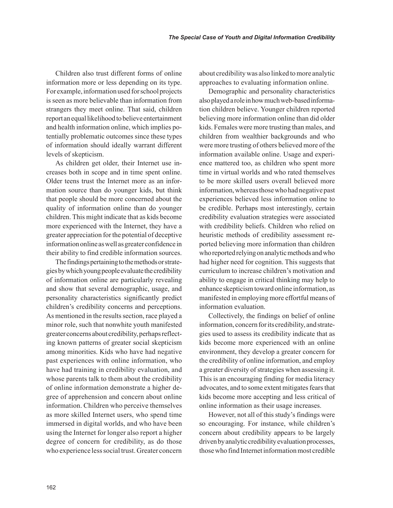Children also trust different forms of online information more or less depending on its type. For example, information used for school projects is seen as more believable than information from strangers they meet online. That said, children report an equal likelihood to believe entertainment and health information online, which implies potentially problematic outcomes since these types of information should ideally warrant different levels of skepticism.

As children get older, their Internet use increases both in scope and in time spent online. Older teens trust the Internet more as an information source than do younger kids, but think that people should be more concerned about the quality of information online than do younger children. This might indicate that as kids become more experienced with the Internet, they have a greater appreciation for the potential of deceptive information online as well as greater confidence in their ability to find credible information sources.

The findings pertaining to the methods or strategies by which young people evaluate the credibility of information online are particularly revealing and show that several demographic, usage, and personality characteristics significantly predict children's credibility concerns and perceptions. As mentioned in the results section, race played a minor role, such that nonwhite youth manifested greater concerns about credibility, perhaps reflecting known patterns of greater social skepticism among minorities. Kids who have had negative past experiences with online information, who have had training in credibility evaluation, and whose parents talk to them about the credibility of online information demonstrate a higher degree of apprehension and concern about online information. Children who perceive themselves as more skilled Internet users, who spend time immersed in digital worlds, and who have been using the Internet for longer also report a higher degree of concern for credibility, as do those who experience less social trust. Greater concern about credibility was also linked to more analytic approaches to evaluating information online.

Demographic and personality characteristics also played a role in how much web-based information children believe. Younger children reported believing more information online than did older kids. Females were more trusting than males, and children from wealthier backgrounds and who were more trusting of others believed more of the information available online. Usage and experience mattered too, as children who spent more time in virtual worlds and who rated themselves to be more skilled users overall believed more information, whereas those who had negative past experiences believed less information online to be credible. Perhaps most interestingly, certain credibility evaluation strategies were associated with credibility beliefs. Children who relied on heuristic methods of credibility assessment reported believing more information than children who reported relying on analytic methods and who had higher need for cognition. This suggests that curriculum to increase children's motivation and ability to engage in critical thinking may help to enhance skepticism toward online information, as manifested in employing more effortful means of information evaluation.

Collectively, the findings on belief of online information, concern for its credibility, and strategies used to assess its credibility indicate that as kids become more experienced with an online environment, they develop a greater concern for the credibility of online information, and employ a greater diversity of strategies when assessing it. This is an encouraging finding for media literacy advocates, and to some extent mitigates fears that kids become more accepting and less critical of online information as their usage increases.

However, not all of this study's findings were so encouraging. For instance, while children's concern about credibility appears to be largely driven by analytic credibility evaluation processes, those who find Internet information most credible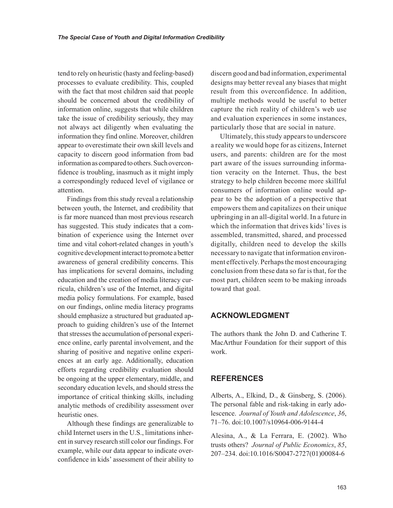tend to rely on heuristic (hasty and feeling-based) processes to evaluate credibility. This, coupled with the fact that most children said that people should be concerned about the credibility of information online, suggests that while children take the issue of credibility seriously, they may not always act diligently when evaluating the information they find online. Moreover, children appear to overestimate their own skill levels and capacity to discern good information from bad information as compared to others. Such overconfidence is troubling, inasmuch as it might imply a correspondingly reduced level of vigilance or attention.

Findings from this study reveal a relationship between youth, the Internet, and credibility that is far more nuanced than most previous research has suggested. This study indicates that a combination of experience using the Internet over time and vital cohort-related changes in youth's cognitive development interact to promote a better awareness of general credibility concerns. This has implications for several domains, including education and the creation of media literacy curricula, children's use of the Internet, and digital media policy formulations. For example, based on our findings, online media literacy programs should emphasize a structured but graduated approach to guiding children's use of the Internet that stresses the accumulation of personal experience online, early parental involvement, and the sharing of positive and negative online experiences at an early age. Additionally, education efforts regarding credibility evaluation should be ongoing at the upper elementary, middle, and secondary education levels, and should stress the importance of critical thinking skills, including analytic methods of credibility assessment over heuristic ones.

Although these findings are generalizable to child Internet users in the U.S., limitations inherent in survey research still color our findings. For example, while our data appear to indicate overconfidence in kids' assessment of their ability to

discern good and bad information, experimental designs may better reveal any biases that might result from this overconfidence. In addition, multiple methods would be useful to better capture the rich reality of children's web use and evaluation experiences in some instances, particularly those that are social in nature.

Ultimately, this study appears to underscore a reality we would hope for as citizens, Internet users, and parents: children are for the most part aware of the issues surrounding information veracity on the Internet. Thus, the best strategy to help children become more skillful consumers of information online would appear to be the adoption of a perspective that empowers them and capitalizes on their unique upbringing in an all-digital world. In a future in which the information that drives kids' lives is assembled, transmitted, shared, and processed digitally, children need to develop the skills necessary to navigate that information environment effectively. Perhaps the most encouraging conclusion from these data so far is that, for the most part, children seem to be making inroads toward that goal.

# **ACKNOWLEDGMENT**

The authors thank the John D. and Catherine T. MacArthur Foundation for their support of this work.

#### **REFERENCES**

Alberts, A., Elkind, D., & Ginsberg, S. (2006). The personal fable and risk-taking in early adolescence. *Journal of Youth and Adolescence*, *36*, 71–76. doi:10.1007/s10964-006-9144-4

Alesina, A., & La Ferrara, E. (2002). Who trusts others? *Journal of Public Economics*, *85*, 207–234. doi:10.1016/S0047-2727(01)00084-6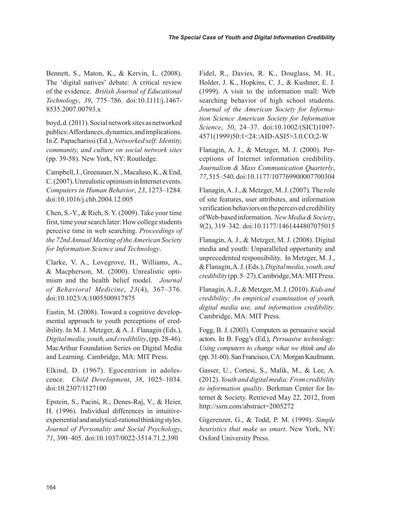Bennett, S., Maton, K., & Kervin, L. (2008). The 'digital natives' debate: A critical review of the evidence. *British Journal of Educational Technology*, *39*, 775–786. doi:10.1111/j.1467- 8535.2007.00793.x

boyd, d. (2011). Social network sites as networked publics: Affordances, dynamics, and implications. In Z. Papacharissi (Ed.), *Networked self: Identity, community, and culture on social network sites* (pp. 39-58). New York, NY: Routledge.

Campbell, J., Greenauer, N., Macaluso, K., & End, C. (2007). Unrealistic optimism in Internet events. *Computers in Human Behavior*, *23*, 1273–1284. doi:10.1016/j.chb.2004.12.005

Chen, S.-Y., & Rieh, S. Y. (2009). Take your time first, time your search later: How college students perceive time in web searching. *Proceedings of the 72nd Annual Meeting of the American Society for Information Science and Technology*.

Clarke, V. A., Lovegrove, H., Williams, A., & Macpherson, M. (2000). Unrealistic optimism and the health belief model. *Journal of Behavioral Medicine*, *23*(4), 367–376. doi:10.1023/A:1005500917875

Eastin, M. (2008). Toward a cognitive developmental approach to youth perceptions of credibility. In M. J. Metzger, & A. J. Flanagin (Eds.), *Digital media, youth, and credibility*, (pp. 28-46). MacArthur Foundation Series on Digital Media and Learning. Cambridge, MA: MIT Press.

Elkind, D. (1967). Egocentrism in adolescence. *Child Development*, *38*, 1025–1034. doi:10.2307/1127100

Epstein, S., Pacini, R., Denes-Raj, V., & Heier, H. (1996). Individual differences in intuitiveexperiential and analytical-rational thinking styles. *Journal of Personality and Social Psychology*, *71*, 390–405. doi:10.1037/0022-3514.71.2.390

Fidel, R., Davies, R. K., Douglass, M. H., Holder, J. K., Hopkins, C. J., & Kushner, E. J. (1999). A visit to the information mall: Web searching behavior of high school students. *Journal of the American Society for Information Science American Society for Information Science*, *50*, 24–37. doi:10.1002/(SICI)1097- 4571(1999)50:1<24::AID-ASI5>3.0.CO;2-W

Flanagin, A. J., & Metzger, M. J. (2000). Perceptions of Internet information credibility. *Journalism & Mass Communication Quarterly*, *77*, 515–540. doi:10.1177/107769900007700304

Flanagin, A. J., & Metzger, M. J. (2007). The role of site features, user attributes, and information verification behaviors on the perceived credibility of Web-based information. *New Media & Society*, *9*(2), 319–342. doi:10.1177/1461444807075015

Flanagin, A. J., & Metzger, M. J. (2008). Digital media and youth: Unparalleled opportunity and unprecedented responsibility. In Metzger, M. J., & Flanagin, A. J. (Eds.), *Digital media, youth, and credibility* (pp. 5–27). Cambridge, MA: MIT Press.

Flanagin, A. J., & Metzger, M. J. (2010). *Kids and credibility: An empirical examination of youth, digital media use, and information credibility*. Cambridge, MA: MIT Press.

Fogg, B. J. (2003). Computers as persuasive social actors. In B. Fogg's (Ed.), *Persuasive technology: Using computers to change what we think and do* (pp. 31-60). San Francisco, CA: Morgan Kaufmann.

Gasser, U., Cortesi, S., Malik, M., & Lee, A. (2012). *Youth and digital media: From credibility to information quality*. Berkman Center for Internet & Society. Retrieved May 22, 2012, from http://ssrn.com/abstract=2005272

Gigerenzer, G., & Todd, P. M. (1999). *Simple heuristics that make us smart*. New York, NY: Oxford University Press.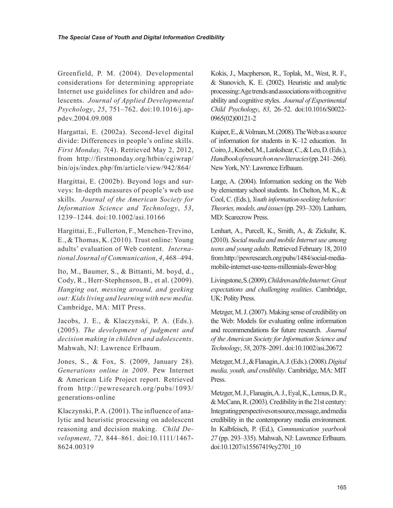Greenfield, P. M. (2004). Developmental considerations for determining appropriate Internet use guidelines for children and adolescents. *Journal of Applied Developmental Psychology*, *25*, 751–762. doi:10.1016/j.appdev.2004.09.008

Hargattai, E. (2002a). Second-level digital divide: Differences in people's online skills. *First Monday, 7*(4). Retrieved May 2, 2012, from http://firstmonday.org/htbin/cgiwrap/ bin/ojs/index.php/fm/article/view/942/864/

Hargittai, E. (2002b). Beyond logs and surveys: In-depth measures of people's web use skills. *Journal of the American Society for Information Science and Technology*, *53*, 1239–1244. doi:10.1002/asi.10166

Hargittai, E., Fullerton, F., Menchen-Trevino, E., & Thomas, K. (2010). Trust online: Young adults' evaluation of Web content. *International Journal of Communication*, *4*, 468–494.

Ito, M., Baumer, S., & Bittanti, M. boyd, d., Cody, R., Herr-Stephenson, B., et al. (2009). *Hanging out, messing around, and geeking out: Kids living and learning with new media.* Cambridge, MA: MIT Press.

Jacobs, J. E., & Klaczynski, P. A. (Eds.). (2005). *The development of judgment and decision making in children and adolescents*. Mahwah, NJ: Lawrence Erlbaum.

Jones, S., & Fox, S. (2009, January 28). *Generations online in 2009*. Pew Internet & American Life Project report. Retrieved from http://pewresearch.org/pubs/1093/ generations-online

Klaczynski, P. A. (2001). The influence of analytic and heuristic processing on adolescent reasoning and decision making. *Child Development*, *72*, 844–861. doi:10.1111/1467- 8624.00319

Kokis, J., Macpherson, R., Toplak, M., West, R. F., & Stanovich, K. E. (2002). Heuristic and analytic processing: Age trends and associations with cognitive ability and cognitive styles. *Journal of Experimental Child Psychology*, *83*, 26–52. doi:10.1016/S0022- 0965(02)00121-2

Kuiper, E., & Volman, M. (2008). The Web as a source of information for students in K–12 education. In Coiro, J., Knobel, M., Lankshear, C., & Leu, D. (Eds.), *Handbook of research on new literacies* (pp. 241–266). New York, NY: Lawrence Erlbaum.

Large, A. (2004). Information seeking on the Web by elementary school students. In Chelton, M. K., & Cool, C. (Eds.), *Youth information-seeking behavior: Theories, models, and issues* (pp. 293–320). Lanham, MD: Scarecrow Press.

Lenhart, A., Purcell, K., Smith, A., & Zickuhr, K. (2010). *Social media and mobile Internet use among teens and young adults.* Retrieved February 18, 2010 from http://pewresearch.org/pubs/1484/social-mediamobile-internet-use-teens-millennials-fewer-blog

Livingstone, S. (2009). *Children and the Internet: Great expectations and challenging realities*. Cambridge, UK: Polity Press.

Metzger, M. J. (2007). Making sense of credibility on the Web: Models for evaluating online information and recommendations for future research. *Journal of the American Society for Information Science and Technology*, *58*, 2078–2091. doi:10.1002/asi.20672

Metzger, M. J., & Flanagin, A. J. (Eds.). (2008). *Digital media, youth, and credibility*. Cambridge, MA: MIT Press.

Metzger, M. J., Flanagin, A. J., Eyal, K., Lemus, D. R., & McCann, R. (2003). Credibility in the 21st century: Integrating perspectives on source, message, and media credibility in the contemporary media environment. In Kalbfeisch, P. (Ed.), *Communication yearbook 27* (pp. 293–335). Mahwah, NJ: Lawrence Erlbaum. doi:10.1207/s15567419cy2701\_10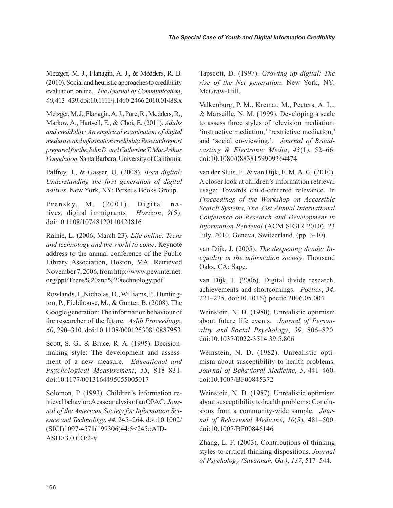Metzger, M. J., Flanagin, A. J., & Medders, R. B. (2010). Social and heuristic approaches to credibility evaluation online. *The Journal of Communication*, *60*, 413–439. doi:10.1111/j.1460-2466.2010.01488.x

Metzger, M. J., Flanagin, A. J., Pure, R., Medders, R., Markov, A., Hartsell, E., & Choi, E. (2011). *Adults and credibility: An empirical examination of digital media use and information credibility. Research report prepared for the John D. and Catherine T. MacArthur Foundation*. Santa Barbara: University of California.

Palfrey, J., & Gasser, U. (2008). *Born digital: Understanding the first generation of digital natives*. New York, NY: Perseus Books Group.

Prensky, M. (2001). Digital natives, digital immigrants. *Horizon*, *9*(5). doi:10.1108/10748120110424816

Rainie, L. (2006, March 23). *Life online: Teens and technology and the world to come*. Keynote address to the annual conference of the Public Library Association, Boston, MA. Retrieved November 7, 2006, from http://www.pewinternet. org/ppt/Teens%20and%20technology.pdf

Rowlands, I., Nicholas, D., Williams, P., Huntington, P., Fieldhouse, M., & Gunter, B. (2008). The Google generation: The information behaviour of the researcher of the future. *Aslib Proceedings*, *60*, 290–310. doi:10.1108/00012530810887953

Scott, S. G., & Bruce, R. A. (1995). Decisionmaking style: The development and assessment of a new measure. *Educational and Psychological Measurement*, *55*, 818–831. doi:10.1177/0013164495055005017

Solomon, P. (1993). Children's information retrieval behavior: A case analysis of an OPAC. *Journal of the American Society for Information Science and Technology*, *44*, 245–264. doi:10.1002/ (SICI)1097-4571(199306)44:5<245::AID-ASI1>3.0.CO;2-#

Tapscott, D. (1997). *Growing up digital: The rise of the Net generation*. New York, NY: McGraw-Hill.

Valkenburg, P. M., Krcmar, M., Peeters, A. L., & Marseille, N. M. (1999). Developing a scale to assess three styles of television mediation: 'instructive mediation,' 'restrictive mediation,' and 'social co-viewing.'. *Journal of Broadcasting & Electronic Media*, *43*(1), 52–66. doi:10.1080/08838159909364474

van der Sluis, F., & van Dijk, E. M. A. G. (2010). A closer look at children's information retrieval usage: Towards child-centered relevance. In *Proceedings of the Workshop on Accessible Search Systems, The 33st Annual International Conference on Research and Development in Information Retrieval* (ACM SIGIR 2010), 23 July, 2010, Geneva, Switzerland, (pp. 3-10).

van Dijk, J. (2005). *The deepening divide: Inequality in the information society*. Thousand Oaks, CA: Sage.

van Dijk, J. (2006). Digital divide research, achievements and shortcomings. *Poetics*, *34*, 221–235. doi:10.1016/j.poetic.2006.05.004

Weinstein, N. D. (1980). Unrealistic optimism about future life events. *Journal of Personality and Social Psychology*, *39*, 806–820. doi:10.1037/0022-3514.39.5.806

Weinstein, N. D. (1982). Unrealistic optimism about susceptibility to health problems. *Journal of Behavioral Medicine*, *5*, 441–460. doi:10.1007/BF00845372

Weinstein, N. D. (1987). Unrealistic optimism about susceptibility to health problems: Conclusions from a community-wide sample. *Journal of Behavioral Medicine*, *10*(5), 481–500. doi:10.1007/BF00846146

Zhang, L. F. (2003). Contributions of thinking styles to critical thinking dispositions. *Journal of Psychology (Savannah, Ga.)*, *137*, 517–544.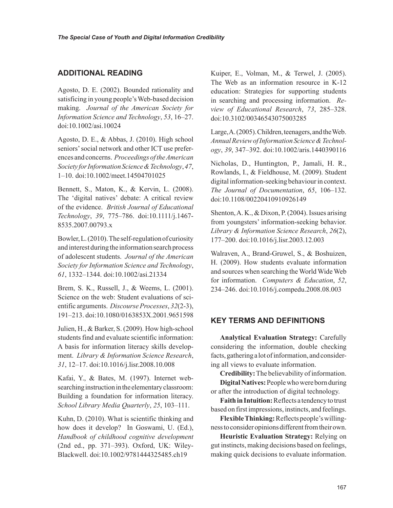# **ADDITIONAL READING**

Agosto, D. E. (2002). Bounded rationality and satisficing in young people's Web-based decision making. *Journal of the American Society for Information Science and Technology*, *53*, 16–27. doi:10.1002/asi.10024

Agosto, D. E., & Abbas, J. (2010). High school seniors' social network and other ICT use preferences and concerns. *Proceedings of the American Society for Information Science & Technology*, *47*, 1–10. doi:10.1002/meet.14504701025

Bennett, S., Maton, K., & Kervin, L. (2008). The 'digital natives' debate: A critical review of the evidence. *British Journal of Educational Technology*, *39*, 775–786. doi:10.1111/j.1467- 8535.2007.00793.x

Bowler, L. (2010). The self-regulation of curiosity and interest during the information search process of adolescent students. *Journal of the American Society for Information Science and Technology*, *61*, 1332–1344. doi:10.1002/asi.21334

Brem, S. K., Russell, J., & Weems, L. (2001). Science on the web: Student evaluations of scientific arguments. *Discourse Processes*, *32*(2-3), 191–213. doi:10.1080/0163853X.2001.9651598

Julien, H., & Barker, S. (2009). How high-school students find and evaluate scientific information: A basis for information literacy skills development. *Library & Information Science Research*, *31*, 12–17. doi:10.1016/j.lisr.2008.10.008

Kafai, Y., & Bates, M. (1997). Internet websearching instruction in the elementary classroom: Building a foundation for information literacy. *School Library Media Quarterly*, *25*, 103–111.

Kuhn, D. (2010). What is scientific thinking and how does it develop? In Goswami, U. (Ed.), *Handbook of childhood cognitive development* (2nd ed., pp. 371–393). Oxford, UK: Wiley-Blackwell. doi:10.1002/9781444325485.ch19

Kuiper, E., Volman, M., & Terwel, J. (2005). The Web as an information resource in K-12 education: Strategies for supporting students in searching and processing information. *Review of Educational Research*, *73*, 285–328. doi:10.3102/00346543075003285

Large, A. (2005). Children, teenagers, and the Web. *Annual Review of Information Science & Technology*, *39*, 347–392. doi:10.1002/aris.1440390116

Nicholas, D., Huntington, P., Jamali, H. R., Rowlands, I., & Fieldhouse, M. (2009). Student digital information-seeking behaviour in context. *The Journal of Documentation*, *65*, 106–132. doi:10.1108/00220410910926149

Shenton, A. K., & Dixon, P. (2004). Issues arising from youngsters' information-seeking behavior. *Library & Information Science Research*, *26*(2), 177–200. doi:10.1016/j.lisr.2003.12.003

Walraven, A., Brand-Gruwel, S., & Boshuizen, H. (2009). How students evaluate information and sources when searching the World Wide Web for information. *Computers & Education*, *52*, 234–246. doi:10.1016/j.compedu.2008.08.003

# **KEY TERMS AND DEFINITIONS**

**Analytical Evaluation Strategy:** Carefully considering the information, double checking facts, gathering a lot of information, and considering all views to evaluate information.

**Credibility:** The believability of information. **Digital Natives:** People who were born during

or after the introduction of digital technology. **Faith in Intuition:** Reflects a tendency to trust based on first impressions, instincts, and feelings.

**Flexible Thinking:** Reflects people's willingness to consider opinions different from their own.

**Heuristic Evaluation Strategy:** Relying on gut instincts, making decisions based on feelings, making quick decisions to evaluate information.